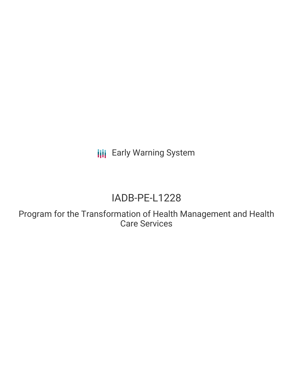**III** Early Warning System

# IADB-PE-L1228

Program for the Transformation of Health Management and Health Care Services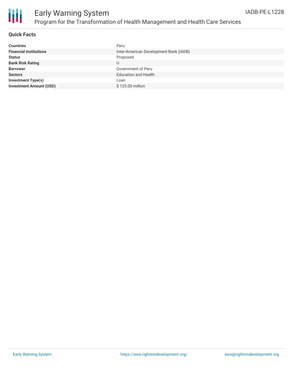

#### **Quick Facts**

| Peru                                   |
|----------------------------------------|
| Inter-American Development Bank (IADB) |
| Proposed                               |
| U                                      |
| Government of Peru                     |
| <b>Education and Health</b>            |
| Loan                                   |
| \$125.00 million                       |
|                                        |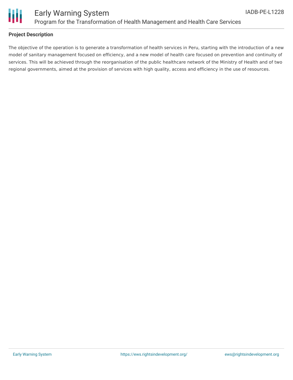

#### **Project Description**

The objective of the operation is to generate a transformation of health services in Peru, starting with the introduction of a new model of sanitary management focused on efficiency, and a new model of health care focused on prevention and continuity of services. This will be achieved through the reorganisation of the public healthcare network of the Ministry of Health and of two regional governments, aimed at the provision of services with high quality, access and efficiency in the use of resources.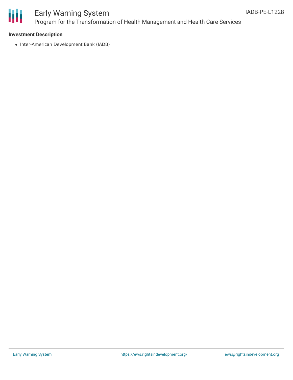

## Early Warning System Program for the Transformation of Health Management and Health Care Services

#### **Investment Description**

• Inter-American Development Bank (IADB)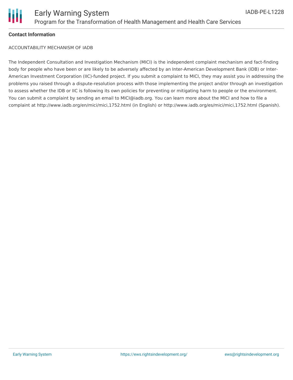

#### **Contact Information**

ACCOUNTABILITY MECHANISM OF IADB

The Independent Consultation and Investigation Mechanism (MICI) is the independent complaint mechanism and fact-finding body for people who have been or are likely to be adversely affected by an Inter-American Development Bank (IDB) or Inter-American Investment Corporation (IIC)-funded project. If you submit a complaint to MICI, they may assist you in addressing the problems you raised through a dispute-resolution process with those implementing the project and/or through an investigation to assess whether the IDB or IIC is following its own policies for preventing or mitigating harm to people or the environment. You can submit a complaint by sending an email to MICI@iadb.org. You can learn more about the MICI and how to file a complaint at http://www.iadb.org/en/mici/mici,1752.html (in English) or http://www.iadb.org/es/mici/mici,1752.html (Spanish).